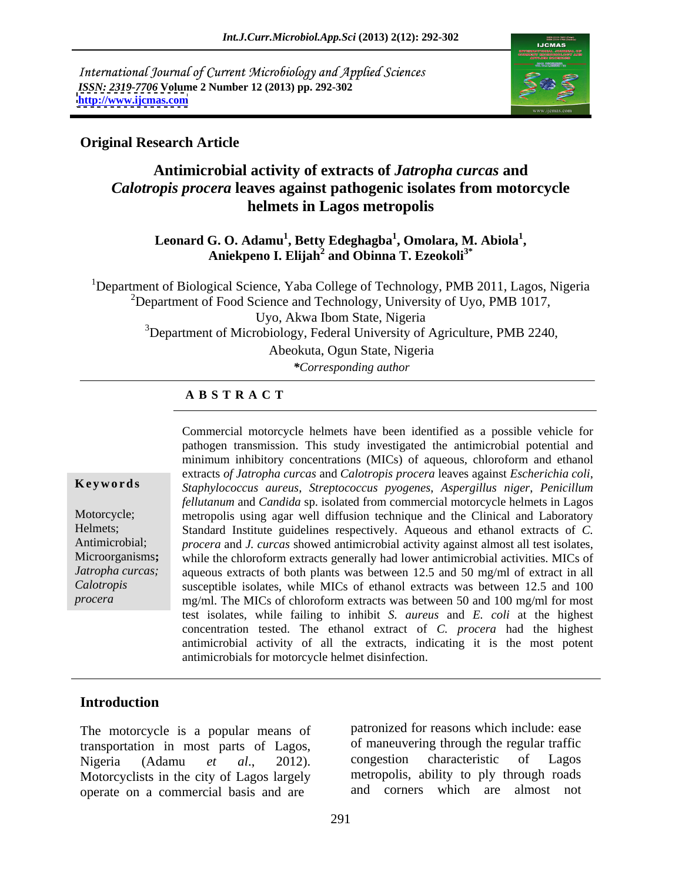International Journal of Current Microbiology and Applied Sciences *ISSN: 2319-7706* **Volume 2 Number 12 (2013) pp. 292-302 <http://www.ijcmas.com>**



### **Original Research Article**

# **Antimicrobial activity of extracts of** *Jatropha curcas* **and** *Calotropis procera* **leaves against pathogenic isolates from motorcycle helmets in Lagos metropolis**

Leonard G. O. Adamu<sup>1</sup>, Betty Edeghagba<sup>1</sup>, Omolara, M. Abiola<sup>1</sup>, **, Omolara, M. Abiola<sup>1</sup>** G. O. Adamu<sup>1</sup>, Betty Edeghagba<sup>1</sup>, Omolara, M. Abiola<sup>1</sup>,<br>Aniekpeno I. Elijah<sup>2</sup> and Obinna T. Ezeokoli<sup>3\*</sup>

<sup>1</sup>Department of Biological Science, Yaba College of Technology, PMB 2011, Lagos, Nigeria <sup>2</sup>Department of Food Science and Technology, University of Uyo, PMB 1017, Uyo, Akwa Ibom State, Nigeria  $3$ Department of Microbiology, Federal University of Agriculture, PMB 2240, Abeokuta, Ogun State, Nigeria *\*Corresponding author* 

### **A B S T R A C T**

**Ke ywo rds** *Staphylococcus aureus*, *Streptococcus pyogenes*, *Aspergillus niger*, *Penicillum*  Motorcycle; metropolis using agar well diffusion technique and the Clinical and Laboratory Helmets; Standard Institute guidelines respectively. Aqueous and ethanol extracts of *C.*  Antimicrobial; *procera* and *J. curcas* showed antimicrobial activity against almost all test isolates, Microorganisms; while the chloroform extracts generally had lower antimicrobial activities. MICs of *Jatropha curcas;* aqueous extracts of both plants was between 12.5 and 50 mg/ml of extract in all *Calotropis* susceptible isolates, while MICs of ethanol extracts was between 12.5 and 100 *procera* mg/ml. The MICs of chloroform extracts was between 50 and 100 mg/ml for most Commercial motorcycle helmets have been identified as a possible vehicle for pathogen transmission. This study investigated the antimicrobial potential and minimum inhibitory concentrations (MICs) of aqueous, chloroform and ethanol extracts *of Jatropha curcas* and *Calotropis procera* leaves against *Escherichia coli*, *fellutanum* and *Candida* sp. isolated from commercial motorcycle helmets in Lagos *procera* and *J. curcas* showed antimicrobial activity against almost all test isolates,<br>while the chloroform extracts generally had lower antimicrobial activities. MICs of test isolates, while failing to inhibit *S. aureus* and *E. coli* at the highest concentration tested. The ethanol extract of *C. procera* had the highest antimicrobial activity of all the extracts, indicating it is the most potent antimicrobials for motorcycle helmet disinfection.

### **Introduction**

The motorcycle is a popular means of transportation in most parts of Lagos, of maneuvering through the regular traffic<br>Nigeria (Adamu et al. 2012) congestion characteristic of Lagos Motorcyclists in the city of Lagos largely operate on a commercial basis and are

Nigeria (Adamu *et al*., 2012). patronized for reasons which include: ease of maneuvering through the regular traffic congestion characteristic of Lagos metropolis, ability to ply through roads and corners which are almost not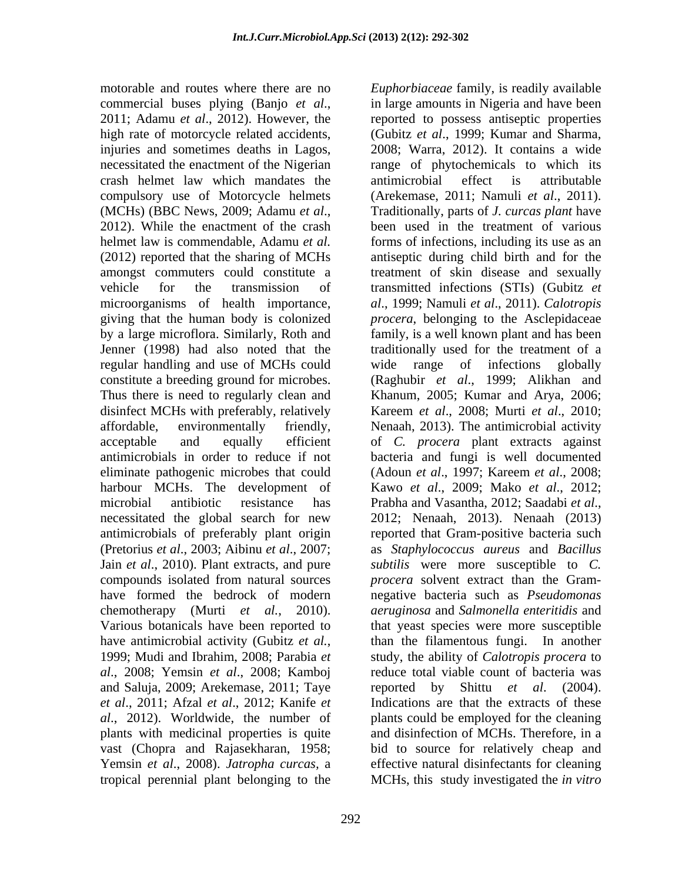motorable and routes where there are no *Euphorbiaceae* family, is readily available commercial buses plying (Banjo *et al.*, in large amounts in Nigeria and have been 2011; Adamu *et al.*, 2012). However, the reported to possess antiseptic properties high rate of motorcycle related accidents, (Gubitz *et al*., 1999; Kumar and Sharma, injuries and sometimes deaths in Lagos, 2008; Warra, 2012). It contains a wide necessitated the enactment of the Nigerian range of phytochemicals to which its crash helmet law which mandates the compulsory use of Motorcycle helmets (Arekemase, 2011; Namuli et al., 2011). (MCHs) (BBC News, 2009; Adamu *et al.*, Traditionally, parts of *J. curcas plant* have 2012). While the enactment of the crash been used in the treatment of various helmet law is commendable, Adamu *et al.* forms of infections, including its use as an (2012) reported that the sharing of MCHs antiseptic during child birth and for the amongst commuters could constitute a treatment of skin disease and sexually vehicle for the transmission of transmitted infections (STIs) (Gubitz *et*  microorganisms of health importance, *al*., 1999; Namuli *et al*.,2011). *Calotropis* giving that the human body is colonized *procera*, belonging to the Asclepidaceae by a large microflora. Similarly, Roth and family, is a well known plant and has been Jenner (1998) had also noted that the traditionally used for the treatment of a regular handling and use of MCHs could constitute a breeding ground for microbes. (Raghubir *et al*., 1999; Alikhan and Thus there is need to regularly clean and Khanum, 2005; Kumar and Arya, 2006; disinfect MCHs with preferably, relatively Kareem *et al*., 2008; Murti *et al*., 2010; affordable, environmentally friendly, Nenaah, 2013). The antimicrobial activity acceptable and equally efficient of *C. procera* plant extracts against antimicrobials in order to reduce if not bacteria and fungi is well documented eliminate pathogenic microbes that could (Adoun *et al*., 1997; Kareem *et al*., 2008; harbour MCHs. The development of Kawo *et al*., 2009; Mako *et al*., 2012; microbial antibiotic resistance has Prabha and Vasantha, 2012; Saadabi et al., necessitated the global search for new 2012; Nenach, 2013). Nenach (2013) antimicrobials of preferably plant origin reported that Gram-positive bacteria such (Pretorius *et al*., 2003; Aibinu *et al*., 2007; as *Staphylococcus aureus* and *Bacillus*  Jain *et al*., 2010). Plant extracts, and pure *subtilis* were more susceptible to *C.*  compounds isolated from natural sources *procera* solvent extract than the Gramhave formed the bedrock of modern negative bacteria such as *Pseudomonas*  chemotherapy (Murti *et al.*, 2010). *aeruginosa* and *Salmonella enteritidis* and Various botanicals have been reported to that yeast species were more susceptible have antimicrobial activity (Gubitz *et al.*, than the filamentous fungi. In another 1999; Mudi and Ibrahim, 2008; Parabia *et* study, the ability of *Calotropis procera* to *al*., 2008; Yemsin *et al*., 2008; Kamboj reduce total viable count of bacteria was and Saluja, 2009; Arekemase, 2011; Taye reported by Shittu et al. (2004). *et al*., 2011; Afzal *et al*., 2012; Kanife *et al*., 2012). Worldwide, the number of plants with medicinal properties is quite vast (Chopra and Rajasekharan, 1958; bid to source for relatively cheap and Yemsin *et al*., 2008).*Jatropha curcas,* a effective natural disinfectants for cleaning

tropical perennial plant belonging to the MCHs, this study investigated the *in vitro* in large amounts in Nigeria and have been reported to possess antiseptic properties antimicrobial effect is attributable (Arekemase, 2011; Namuli *et al.*, 2011).<br>Traditionally, parts of *J. curcas plant* have been used in the treatment of various wide range of infections globally Prabha and Vasantha, 2012; Saadabi *et al*., 2012; Nenaah, 2013). Nenaah (2013) *procera* solvent extract than the Gram *aeruginosa* and *Salmonella enteritidis* and that yeast species were more susceptible than the filamentous fungi. In another study, the ability of *Calotropis procera* to reported by Shittu *et al.* (2004).<br>Indications are that the extracts of these plants could be employed for the cleaning and disinfection of MCHs. Therefore, in a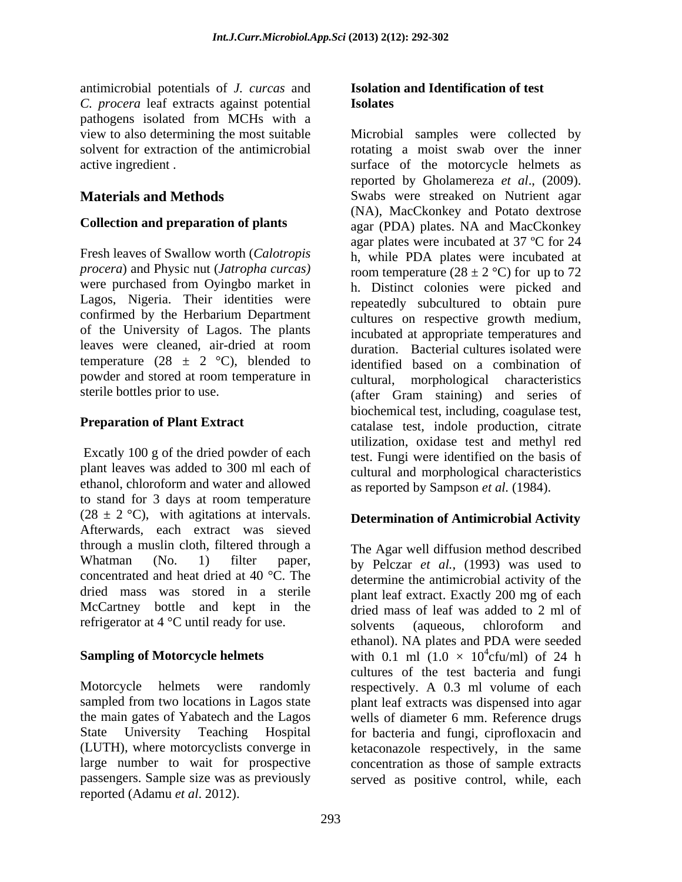antimicrobial potentials of *J. curcas* and *C. procera* leaf extracts against potential pathogens isolated from MCHs with a

*procera*) and Physic nut (*Jatropha curcas)* were purchased from Oyingbo market in Lagos, Nigeria. Their identities were confirmed by the Herbarium Department of the University of Lagos. The plants leaves were cleaned, air-dried at room temperature (28  $\pm$  2 °C), blended to powder and stored at room temperature in

Excatly 100 g of the dried powder of each ethanol, chloroform and water and allowed to stand for 3 days at room temperature  $(28 \pm 2 \degree C)$ , with agitations at intervals. Afterwards, each extract was sieved through a muslin cloth, filtered through a McCartney bottle and kept in the

(LUTH), where motorcyclists converge in passengers. Sample size was as previously served as positive control, while, eachreported (Adamu *et al*. 2012).

### **Isolation and Identification of test Isolates**

view to also determining the most suitable Microbial samples were collected by solvent for extraction of the antimicrobial rotating a moist swab over the inner active ingredient . surface of the motorcycle helmets as **Materials and Methods** Swabs were streaked on Nutrient agar **Collection and preparation of plants** agar (PDA) plates. NA and MacCkonkey Fresh leaves of Swallow worth (*Calotropis*  h, while PDA plates were incubated at sterile bottles prior to use. (after Gram staining) and series of **Preparation of Plant Extract** catalase test, indole production, citrate plant leaves was added to 300 ml each of cultural and morphological characteristics reported by Gholamereza *et al*., (2009). (NA), MacCkonkey and Potato dextrose agar plates were incubated at 37 ºC for 24 room temperature (28  $\pm$  2 °C) for up to 72 h. Distinct colonies were picked and repeatedly subcultured to obtain pure cultures on respective growth medium, incubated at appropriate temperatures and duration. Bacterial cultures isolated were identified based on a combination of cultural, morphological characteristics biochemical test, including, coagulase test, utilization, oxidase test and methyl red test. Fungi were identified on the basis of as reported by Sampson *et al.* (1984).

# **Determination of Antimicrobial Activity**

Whatman (No. 1) filter paper, by Pelczar *et al.,* (1993) was used to concentrated and heat dried at 40 °C. The determine the antimicrobial activity of the dried mass was stored in a sterile plant leaf extract. Exactly 200 mg of each refrigerator at 4 °C until ready for use.<br>solvents (aqueous, chloroform and **Sampling of Motorcycle helmets** with  $0.1$  ml  $(1.0 \times 10^4$ cfu/ml) of 24 h Motorcycle helmets were randomly respectively. A 0.3 ml volume of each sampled from two locations in Lagos state plant leaf extracts was dispensed into agar the main gates of Yabatech and the Lagos wells of diameter 6 mm. Reference drugs State University Teaching Hospital for bacteria and fungi, ciprofloxacin and large number to wait for prospective concentration as those of sample extracts The Agar well diffusion method described dried mass of leaf was added to 2 ml of solvents (aqueous, chloroform and ethanol). NA plates and PDA were seeded  $^{4}$ ofu/ml) of 24 h cfu/ml) of 24 h cultures of the test bacteria and fungi ketaconazole respectively, in the same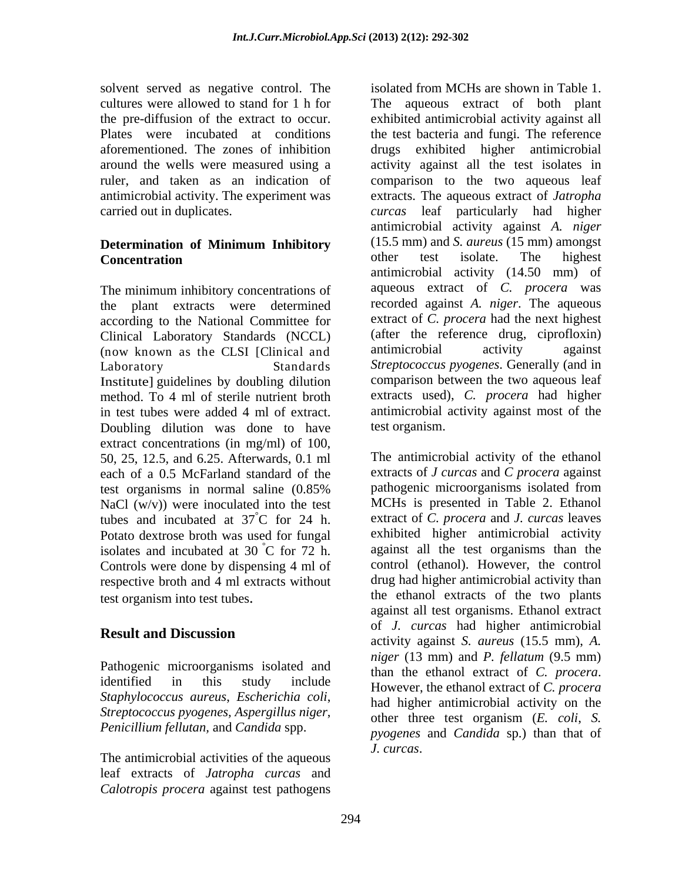the pre-diffusion of the extract to occur. carried out in duplicates. The case of the carrier of the carried out in duplicates.

The minimum inhibitory concentrations of the plant extracts were determined according to the National Committee for Clinical Laboratory Standards (NCCL) (after the reference drug, ciprofloxin)<br>(now known as the CLSI [Clinical and antimicrobial activity against (now known as the CLSI [Clinical and Institute] guidelines by doubling dilution method. To 4 ml of sterile nutrient broth in test tubes were added 4 ml of extract. Doubling dilution was done to have extract concentrations (in mg/ml) of 100, NaCl  $(w/v)$  were inoculated into the test tubes and incubated at  $37^{\circ}$ C for 24 h. Potato dextrose broth was used for fungal isolates and incubated at  $30\degree$ C for 72 h. Controls were done by dispensing 4 ml of respective broth and 4 ml extracts without

Pathogenic microorganisms isolated and than the ethanol extract of C. procera. identified in this study include However, the ethanol extract of C. procera *Staphylococcus aureus*, *Escherichia coli*, *Streptococcus pyogenes, Aspergillus niger*, *Penicillium fellutan,* and *Candida* spp.

The antimicrobial activities of the aqueous leaf extracts of *Jatropha curcas* and *Calotropis procera* against test pathogens

solvent served as negative control. The isolated from MCHs are shown in Table 1. cultures were allowed to stand for 1 h for The aqueous extract of both plant Plates were incubated at conditions the test bacteria and fungi*.* The reference aforementioned. The zones of inhibition drugs exhibited higher antimicrobial around the wells were measured using a activity against all the test isolates in ruler, and taken as an indication of comparison to the two aqueous leaf antimicrobial activity. The experiment was extracts. The aqueous extract of *Jatropha*   **determination of Minimum Inhibitory** (15.5 mm) and *S. aureus* (15 mm) amongst **Concentration Concentration Concentration Concentration Concentration Concentration Concentration Concentration** Laboratory Standards *Streptococcus pyogenes*. Generally (and in exhibited antimicrobial activity against all *curcas* leaf particularly had higher antimicrobial activity against *A. niger* (15.5 mm) and *S. aureus* (15 mm) amongst other test isolate. The highest antimicrobial activity (14.50 mm) of aqueous extract of *C. procera* was recorded against *A. niger*. The aqueous extract of *C. procera* had the next highest (after the reference drug, ciprofloxin) antimicrobial activity against comparison between the two aqueous leaf extracts used), *C. procera* had higher antimicrobial activity against most of the test organism.

50, 25, 12.5, and 6.25. Afterwards, 0.1 ml The antimicrobial activity of the ethanol each of a 0.5 McFarland standard of the extracts of *J curcas* and *C procera* against test organisms in normal saline (0.85% °C for 24 h. extract of *C. procera* and *J. curcas* leaves  $^{\circ}$ C for 72 h. against all the test organisms than the test organism into test tubes. the ethanol extracts of the two plants **Result and Discussion** pathogenic microorganisms isolated from MCHs is presented in Table 2. Ethanol exhibited higher antimicrobial activity control (ethanol). However, the control drug had higher antimicrobial activity than against all test organisms.Ethanol extract of *J. curcas* had higher antimicrobial activity against *S. aureus* (15.5 mm), *A. niger* (13 mm) and *P. fellatum* (9.5 mm) than the ethanol extract of *C. procera*. However, the ethanol extract of *C. procera* had higher antimicrobial activity on the other three test organism (*E. coli*, *S. pyogenes* and *Candida* sp.) than that of *J. curcas*.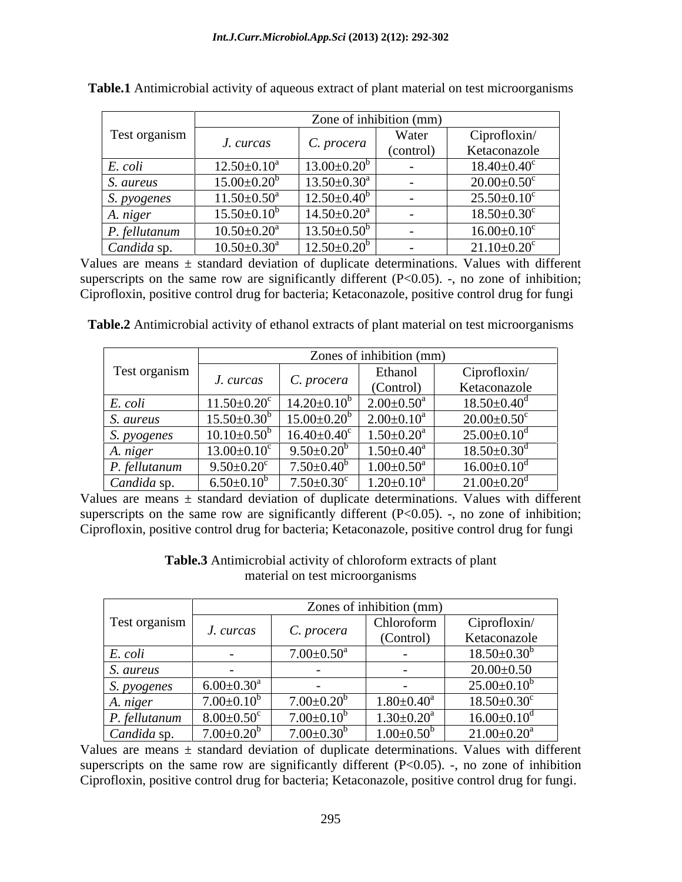|                    |                               | Zone of inhibition (mm)       |           |                               |
|--------------------|-------------------------------|-------------------------------|-----------|-------------------------------|
| Test organism      | J. curcas                     | C. procera                    | Water     | Ciprofloxin/                  |
|                    |                               |                               | (control) | Ketaconazole                  |
| E. coli            | $12.50 \pm 0.10^a$            | $13.00 \pm 0.20^b$            |           | $18.40 \pm 0.40$ <sup>c</sup> |
| S. aureus          | $15.00 \pm 0.20^b$            | $13.50 \pm 0.30^a$            |           | $20.00 \pm 0.50$ <sup>c</sup> |
| <i>S. pyogenes</i> | $11.50 \pm 0.50^a$            | $12.50 \pm 0.40^b$            |           | $25.50 \pm 0.10^c$            |
| A. niger           | $15.50 \pm 0.10^b$            | $14.50 \pm 0.20^{\circ}$      |           | $18.50 \pm 0.30$ <sup>c</sup> |
| P. fellutanum      | $10.50 \pm 0.20^{\text{a}}$   | $13.50 \pm 0.50^b$            |           | $16.00 \pm 0.10^c$            |
| Candida sp.        | $10.50 \pm 0.30$ <sup>a</sup> | $12.50 \pm 0.20$ <sup>t</sup> |           | $21.10 \pm 0.20$ <sup>c</sup> |

**Table.1** Antimicrobial activity of aqueous extract of plant material on test microorganisms

Values are means  $\pm$  standard deviation of duplicate determinations. Values with different superscripts on the same row are significantly different  $(P<0.05)$ . -, no zone of inhibition; Ciprofloxin, positive control drug for bacteria; Ketaconazole, positive control drug for fungi

**Table.2** Antimicrobial activity of ethanol extracts of plant material on test microorganisms

|               |                      |                              | Zones of inhibition (mm)   |                               |
|---------------|----------------------|------------------------------|----------------------------|-------------------------------|
| Test organism |                      |                              | Ethanol                    | Ciproflowin/                  |
|               | J. curcas            | C. procera                   | (Control)                  | Ketaconazole                  |
| E. coli       | $11.50+0.20^{\circ}$ | $14.20 \pm 0.10^b$           | $2.00 \pm 0.50^{\circ}$    | $18.50 \pm 0.40$ <sup>d</sup> |
| S. aureus     | $15.50 \pm 0.30$     | $15.00 \pm 0.20$             | $2.00 \pm 0.10^a$          | $20.00 \pm 0.50$ <sup>c</sup> |
| S. pyogenes   | $10.10\pm0.50$       | $16.40 \pm 0.40^{\circ}$     | $1.50 \pm 0.20^a$          | $25.00 \pm 0.10^d$            |
| A. niger      | $13.00 \pm 0.10^c$   | $9.50 \pm 0.20$ <sup>t</sup> | $1.50 \pm 0.40^a$          | $18.50 \pm 0.30$ <sup>d</sup> |
| P. fellutanum | $9.50 \pm 0.20$      | $7.50 \pm 0.40^6$            | $1.00 \pm 0.50^{\text{a}}$ | $16.00 \pm 0.10$ <sup>d</sup> |
| Candida sp    | $6.50 \pm 0.1$       | $7.50 \pm 0.30$ <sup>c</sup> | $.20{\pm}0.10^a$           | $21.00 \pm 0.20$ <sup>d</sup> |

Values are means  $\pm$  standard deviation of duplicate determinations. Values with different superscripts on the same row are significantly different  $(P<0.05)$ . -, no zone of inhibition; Ciprofloxin, positive control drug for bacteria; Ketaconazole, positive control drug for fungi

|               |                              |                              | Zones of inhibition (mm) |                               |
|---------------|------------------------------|------------------------------|--------------------------|-------------------------------|
| Test organism | J. curcas                    | C. procera                   | Chloroform<br>(Control)  | Ciprofloxin/<br>Ketaconazole  |
| E. coli       |                              | $7.00{\pm}0.50^{\mathrm{a}}$ |                          | $18.50 \pm 0.30^b$            |
| S. aureus     | $\sim$ $-$                   |                              |                          | $20.00\pm0.50$                |
| S. pyogenes   | $6.00 \pm 0.30$ <sup>a</sup> |                              |                          | $25.00 \pm 0.10^b$            |
| A. niger      | $7.00 \pm 0.10^{\rm t}$      | $7.00 \pm 0.20^{\mathrm{b}}$ | $1.80 \pm 0.40^a$        | $18.50 \pm 0.30^{\circ}$      |
| P. fellutanum | $8.00 \pm 0.50$ <sup>c</sup> | $7.00 \pm 0.10^b$            | $.30 \pm 0.20^a$         | $16.00 \pm 0.10$ <sup>d</sup> |
| Candida s     | $7.00 \pm 0.20^b$            | $7.00{\pm}0.30^{\circ}$      | $1.00 \pm 0.50^b$        | $21.00{\pm}0.20^\mathrm{a}$   |

**Table.3** Antimicrobial activity of chloroform extracts of plant material on test microorganisms

Values are means  $\pm$  standard deviation of duplicate determinations. Values with different superscripts on the same row are significantly different  $(P<0.05)$ . -, no zone of inhibition Ciprofloxin, positive control drug for bacteria; Ketaconazole, positive control drug for fungi.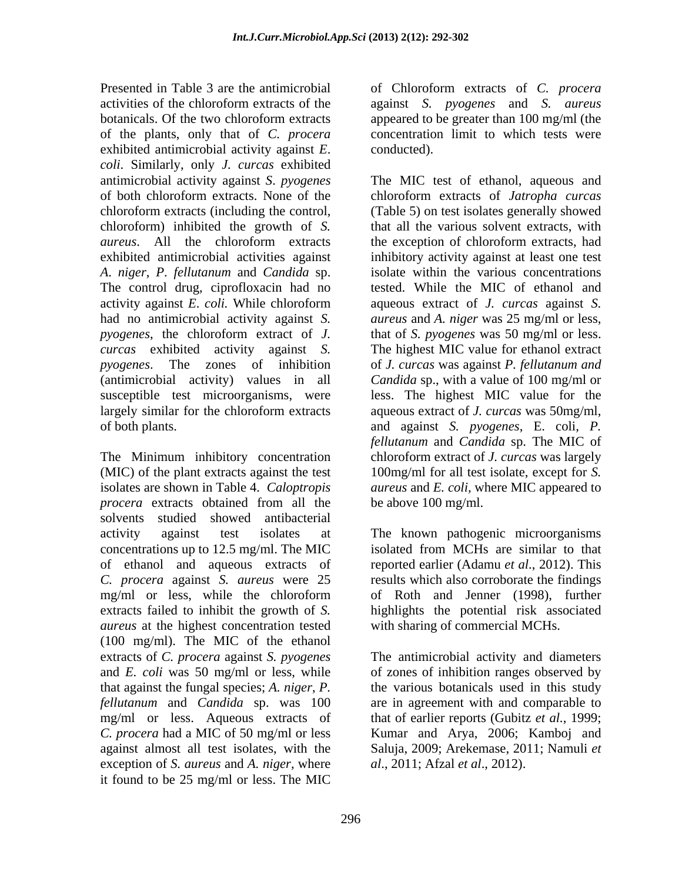Presented in Table 3 are the antimicrobial of Chloroform extracts of *C. procera* activities of the chloroform extracts of the against *S. pyogenes* and *S. aureus* botanicals. Of the two chloroform extracts appeared to be greater than 100 mg/ml (the of the plants, only that of *C. procera* exhibited antimicrobial activity against *E*. *coli*. Similarly, only *J. curcas* exhibited chloroform) inhibited the growth of *S. A*. *niger*, *P*. *fellutanum* and *Candida* sp. The control drug, ciprofloxacin had no

The Minimum inhibitory concentration *procera* extracts obtained from all the be above 100 mg/ml. solvents studied showed antibacterial activity against test isolates at The known pathogenic microorganisms concentrations up to 12.5 mg/ml. The MIC isolated from MCHs are similar to that of ethanol and aqueous extracts of *C. procera* against *S. aureus* were 25 mg/ml or less, while the chloroform extracts failed to inhibit the growth of *S.*  highlights the potential risk associated *aureus* at the highest concentration tested (100 mg/ml). The MIC of the ethanol extracts of *C. procera* against *S. pyogenes* and *E. coli* was 50 mg/ml or less, while of zones of inhibition ranges observed by that against the fungal species; *A. niger*, *P. fellutanum* and *Candida* sp. was 100 are in agreement with and comparable to mg/ml or less. Aqueous extracts of that of earlier reports (Gubitz *et al.*, 1999; *C. procera* had a MIC of 50 mg/ml or less Kumar and Arya, 2006; Kamboj and against almost all test isolates, with the Saluja, 2009; Arekemase, 2011; Namuli *et*  exception of *S. aureus* and *A. niger,* where it found to be 25 mg/ml or less. The MIC

appeared to be greater than 100 mg/ml (the concentration limit to which tests were conducted).

antimicrobial activity against *S*. *pyogenes* The MIC test of ethanol, aqueous and of both chloroform extracts. None of the chloroform extracts of *Jatropha curcas* chloroform extracts (including the control, (Table 5) on test isolates generally showed *aureus*. All the chloroform extracts exhibited antimicrobial activities against inhibitory activity against at least one test activity against *E*. *coli.* While chloroform had no antimicrobial activity against *S. aureus* and *A. niger* was 25 mg/ml or less, *pyogenes*, the chloroform extract of *J.*  that of *S. pyogenes* was 50 mg/ml or less. *curcas* exhibited activity against *S.*  The highest MIC value for ethanol extract *pyogenes*. The zones of inhibition of *J. curcas* was against *P. fellutanum and* (antimicrobial activity) values in all *Candida* sp., with a value of 100 mg/ml or susceptible test microorganisms, were less. The highest MIC value for the largely similar for the chloroform extracts aqueous extract of *J. curcas* was 50mg/ml, of both plants. and against *S. pyogenes*, E. coli, *P.*  (MIC) of the plant extracts against the test 100mg/ml for all test isolate, except for *S.*  isolates are shown in Table 4. *Caloptropis aureus* and *E. coli,* where MIC appeared to that all the various solvent extracts, with the exception of chloroform extracts, had isolate within the various concentrations tested. While the MIC of ethanol and aqueous extract of *J. curcas* against *S. fellutanum* and *Candida* sp. The MIC of chloroform extract of *J. curcas* was largely be above 100 mg/ml.

> reported earlier (Adamu *et al*., 2012). This results which also corroborate the findings of Roth and Jenner (1998), further with sharing of commercial MCHs.

> The antimicrobial activity and diameters the various botanicals used in this study *al*., 2011; Afzal *et al*., 2012).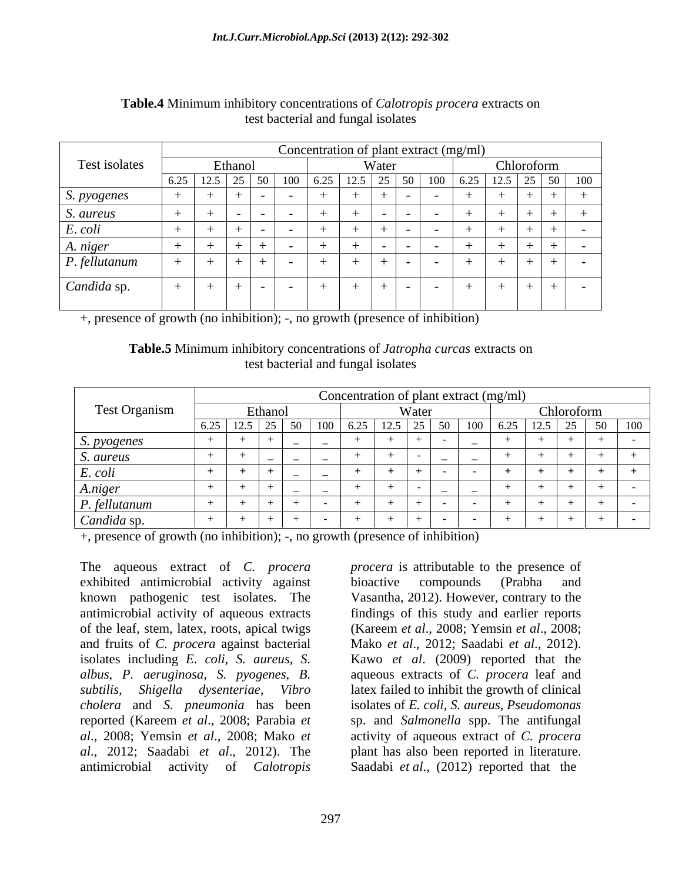|               |      | Concentration of plant extract (mg/ml) |                          |  |  |        |                                                                               |          |                          |     |  |
|---------------|------|----------------------------------------|--------------------------|--|--|--------|-------------------------------------------------------------------------------|----------|--------------------------|-----|--|
| Test isolates |      | Ethano                                 |                          |  |  | Water  |                                                                               |          | Chloroform               |     |  |
|               | 0.4J | 14.J                                   |                          |  |  |        | $\therefore$ $6.25 \mid 12.5 \mid 25 \mid 50 \mid 100 \mid 6.25 \mid 10^{-1}$ |          | $\frac{1}{2}$ 12.5 25 50 | 100 |  |
| S. pyogenes   |      |                                        |                          |  |  |        |                                                                               |          |                          |     |  |
| S. aureus     |      |                                        | $\overline{\phantom{a}}$ |  |  |        |                                                                               |          | .                        |     |  |
| E. coli       |      |                                        | $\sim$                   |  |  |        |                                                                               | $+$ $ -$ |                          |     |  |
| A. niger      |      |                                        |                          |  |  | ______ |                                                                               |          |                          |     |  |
| P. fellutanum |      |                                        | — I — I —                |  |  |        |                                                                               |          | - + + + + + +            |     |  |
| Candida sp.   |      |                                        | $+$ $   -$               |  |  | .      |                                                                               | $+$ $ -$ | ______<br>+ + + + + +    | ——  |  |
|               |      |                                        |                          |  |  |        |                                                                               |          |                          |     |  |

### **Table.4** Minimum inhibitory concentrations of *Calotropis procera* extracts on test bacterial and fungal isolates

+, presence of growth (no inhibition); -, no growth (presence of inhibition)

**Table.5** Minimum inhibitory concentrations of *Jatropha curcas* extracts on test bacterial and fungal isolates

|                         |                                            |            |  | Concentration of plant extract (mg/ml) |                                              |                   |  |  |
|-------------------------|--------------------------------------------|------------|--|----------------------------------------|----------------------------------------------|-------------------|--|--|
| <b>Test Organism</b>    | <sup>E</sup> thanoi<br>$W_{\alpha \alpha}$ |            |  |                                        | Chloroform                                   |                   |  |  |
|                         |                                            | 1,50,1,100 |  | 100 L                                  | $\frac{16.25}{16.25}$   12.5   25   50   100 |                   |  |  |
| S. pyogenes             |                                            |            |  |                                        |                                              | <u>experience</u> |  |  |
| <i>S. aureus</i>        |                                            |            |  |                                        |                                              |                   |  |  |
| E. coli                 |                                            |            |  |                                        |                                              |                   |  |  |
| A.niger                 |                                            |            |  |                                        |                                              |                   |  |  |
| $\sim$<br>P. fellutanum |                                            |            |  |                                        |                                              |                   |  |  |
| Candida sp.             |                                            |            |  |                                        |                                              |                   |  |  |

+, presence of growth (no inhibition); -, no growth (presence of inhibition)

The aqueous extract of *C. procera* exhibited antimicrobial activity against known pathogenic test isolates. The Vasantha, 2012). However, contrary to the antimicrobial activity of aqueous extracts findings of this study and earlier reports of the leaf, stem, latex, roots, apical twigs and fruits of *C. procera* against bacterial Mako *et al*., 2012; Saadabi *et al*., 2012). isolates including *E. coli*, *S. aureus*, *S.*  Kawo *et al*. (2009) reported that the *albus*, *P. aeruginosa*, *S. pyogenes*, *B.*  aqueous extracts of *C. procera* leaf and *subtilis, Shigella dysenteriae, Vibro* latex failed to inhibit the growth of clinical *cholera* and *S. pneumonia* has been reported (Kareem *et al*., 2008; Parabia *et*  sp. and *Salmonella* spp. The antifungal *al*., 2008; Yemsin *et al*., 2008; Mako *et*  activity of aqueous extract of *C. procera al*., 2012; Saadabi *et al*., 2012). The plant has also been reported in literature. antimicrobial activity of *Calotropis*  Saadabi *et al*., (2012) reported that the

*procera* is attributable to the presence of bioactive compounds (Prabha and (Kareem *et al*., 2008; Yemsin *et al*., 2008; isolates of *E. coli*, *S. aureus*, *Pseudomonas*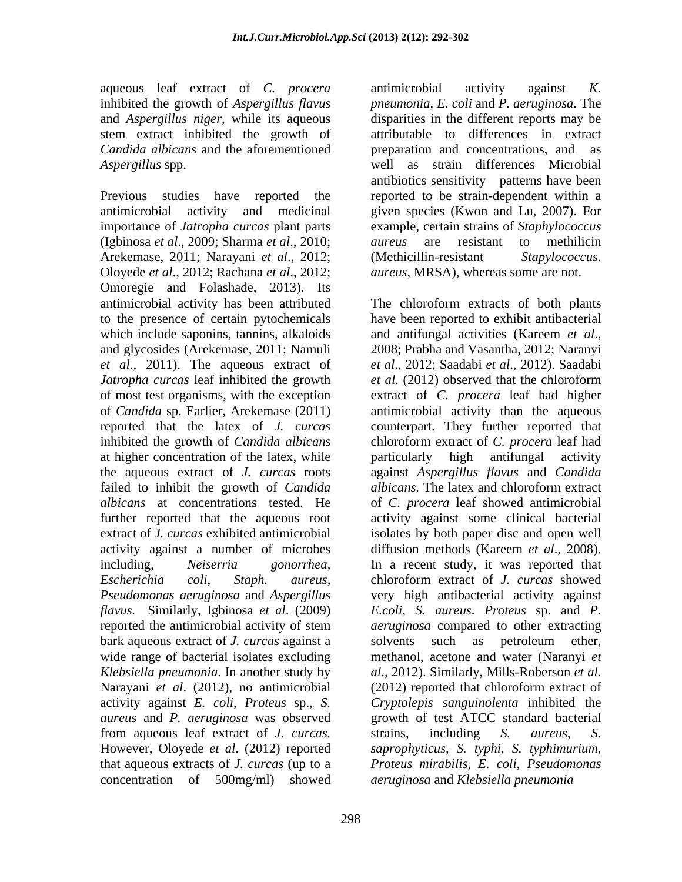stem extract inhibited the growth of *Candida albicans* and the aforementioned

Previous studies have reported the reported to be strain-dependent within a antimicrobial activity and medicinal given species (Kwon and Lu, 2007). For importance of *Jatropha curcas* plant parts (Igbinosa *et al*., 2009; Sharma *et al*., 2010; Arekemase, 2011; Narayani *et al*., 2012; Oloyede *et al*., 2012; Rachana *et al*., 2012; Omoregie and Folashade, 2013). Its which include saponins, tannins, alkaloids and antifungal activities (Kareem *et al.*, and glycosides (Arekemase, 2011; Namuli *et al*., 2011). The aqueous extract of *Jatropha curcas* leaf inhibited the growth *et al.* (2012) observed that the chloroform at higher concentration of the latex, while particularly high antifungal activity the aqueous extract of *J. curcas* roots failed to inhibit the growth of *Candida*  activity against a number of microbes diffusion methods (Kareem et al., 2008). including, *Neiserria gonorrhea*, bark aqueous extract of *J. curcas* against a *Klebsiella pneumonia*. In another study by Narayani *et al.* (2012), no antimicrobial (2012) reported that chloroform extract of *aureus* and *P. aeruginosa* was observed from aqueous leaf extract of *J. curcas.* However, Oloyede *et al*. (2012) reported concentration of 500mg/ml) showed *aeruginosa* and *Klebsiella pneumonia*

aqueous leaf extract of *C. procera* inhibited the growth of *Aspergillus flavus* pneumonia, *E. coli* and *P. aeruginosa*. The and *Aspergillus niger*, while its aqueous disparities in the different reports may be *Aspergillus* spp. well as strain differences Microbial antimicrobial activity against *K.*  attributable to differences in extract preparation and concentrations, and antibiotics sensitivity patterns have been example, certain strains of *Staphylococcus aureus* are resistant to methilicin *dureus, MRSA), whereas some are not.* 

antimicrobial activity has been attributed The chloroform extracts of both plants to the presence of certain pytochemicals have been reported to exhibit antibacterial of most test organisms, with the exception extract of *C. procera* leaf had higher of *Candida* sp. Earlier, Arekemase (2011) antimicrobial activity than the aqueous reported that the latex of *J. curcas* counterpart. They further reported that inhibited the growth of *Candida albicans* chloroform extract of *C. procera* leaf had *albicans* at concentrations tested. He of *C. procera* leaf showed antimicrobial further reported that the aqueous root activity against some clinical bacterial extract of *J. curcas* exhibited antimicrobial isolates by both paper disc and open well *Escherichia coli*, *Staph. aureus*, chloroform extract of *J. curcas* showed *Pseudomonas aeruginosa* and *Aspergillus*  very high antibacterial activity against *flavus.* Similarly, Igbinosa *et al*. (2009) *E.coli*, *S. aureus*. *Proteus* sp. and *P.*  reported the antimicrobial activity of stem *aeruginosa* compared to other extracting wide range of bacterial isolates excluding methanol, acetone and water (Naranyi *et*  activity against *E. coli*, *Proteus* sp., *S. Cryptolepis sanguinolenta* inhibited the that aqueous extracts of *J. curcas* (up to a *Proteus mirabilis*, *E. coli*, *Pseudomonas*  and antifungal activities (Kareem *et al*., 2008; Prabha and Vasantha, 2012; Naranyi *et al*., 2012; Saadabi *et al*., 2012). Saadabi *et al*. (2012) observed that the chloroform particularly high antifungal activity against *Aspergillus flavus* and *Candida albicans.* The latex and chloroform extract diffusion methods (Kareem *et al.*, 2008).<br>In a recent study, it was reported that *aeruginosa* compared to other extracting solvents such as petroleum ether, *al*., 2012). Similarly, Mills-Roberson *et al*. (2012) reported that chloroform extract of growth of test ATCC standard bacterial strains, including *S. aureus*, *S. saprophyticus*, *S. typhi*, *S. typhimurium*,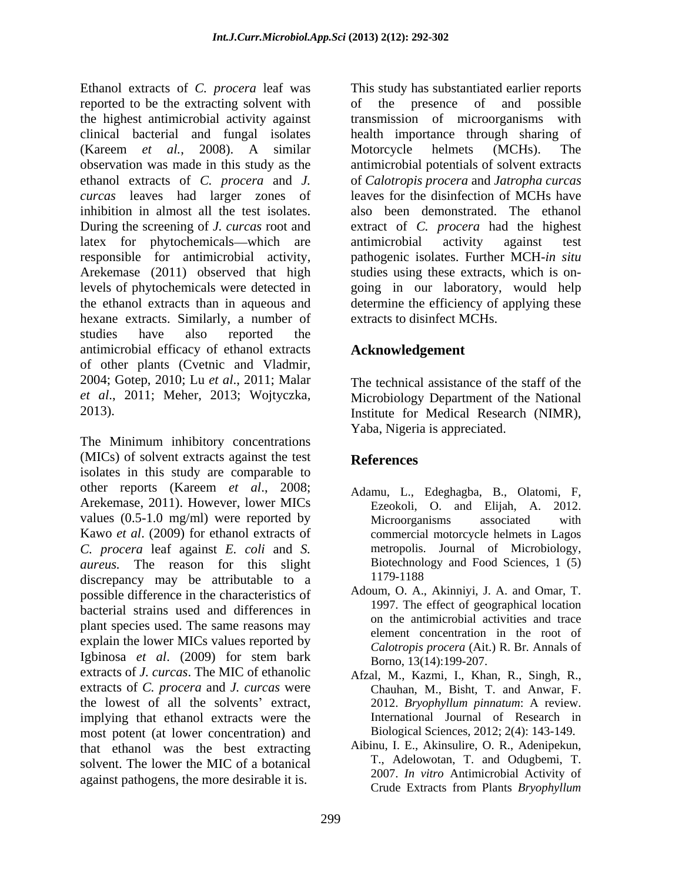Ethanol extracts of *C. procera* leaf was reported to be the extracting solvent with the highest antimicrobial activity against clinical bacterial and fungal isolates health importance through sharing of (Kareem *et al.*, 2008). A similar observation was made in this study as the antimicrobial potentials of solvent extracts ethanol extracts of *C. procera* and *J. curcas* leaves had larger zones of inhibition in almost all the test isolates. also been demonstrated. The ethanol During the screening of *J. curcas* root and latex for phytochemicals—which are antimicrobial activity against test responsible for antimicrobial activity, pathogenic isolates. Further MCH-*in situ* Arekemase (2011) observed that high studies using these extracts, which is on levels of phytochemicals were detected in going in our laboratory, would help the ethanol extracts than in aqueous and hexane extracts. Similarly, a number of extracts to disinfect MCHs.<br>studies have also reported the antimicrobial efficacy of ethanol extracts of other plants (Cvetnic and Vladmir, 2004; Gotep, 2010; Lu *et al*., 2011; Malar *et al*., 2011; Meher, 2013; Wojtyczka, Microbiology Department of the National

The Minimum inhibitory concentrations (MICs) of solvent extracts against the test **References** isolates in this study are comparable to other reports (Kareem *et al*., 2008; Arekemase, 2011). However, lower MICs values (0.5-1.0 mg/ml) were reported by Microorganisms associated with Kawo *et al*. (2009) for ethanol extracts of *C. procera* leaf against *E. coli* and *S. aureus.* The reason for this slight Biotechnole<br>discrepancy may be attributable to a 1179-1188 discrepancy may be attributable to a possible difference in the characteristics of bacterial strains used and differences in plant species used. The same reasons may explain the lower MICs values reported by Igbinosa *et al.* (2009) for stem bark  $\frac{\text{Sumology}}{\text{Borno}}$  13(14):199-207 extracts of *J. curcas*. The MIC of ethanolic extracts of *C. procera* and *J. curcas* were the lowest of all the solvents' extract, 2012. *Bryophyllum pinnatum*: A review. implying that ethanol extracts were the most potent (at lower concentration) and that ethanol was the best extracting solvent. The lower the MIC of a botanical

This study has substantiated earlier reports of the presence of and possible transmission of microorganisms with Motorcycle helmets (MCHs). The of *Calotropis procera* and *Jatropha curcas* leaves for the disinfection of MCHs have extract of *C. procera* had the highest antimicrobial activity against test determine the efficiency of applying these extracts to disinfect MCHs.

## **Acknowledgement**

2013). Institute for Medical Research (NIMR), The technical assistance of the staff of the Yaba, Nigeria is appreciated.

## **References**

- Adamu, L., Edeghagba, B., Olatomi, F, Ezeokoli, O. and Elijah, A. 2012. Microorganisms associated with commercial motorcycle helmets in Lagos metropolis. Journal of Microbiology, Biotechnology and Food Sciences, 1 (5) 1179-1188
- Adoum, O. A., Akinniyi, J. A. and Omar, T. 1997. The effect of geographical location on the antimicrobial activities and trace element concentration in the root of *Calotropis procera* (Ait.) R. Br*.* Annals of Borno, 13(14):199-207.
- Afzal, M., Kazmi, I., Khan, R., Singh, R., Chauhan, M., Bisht, T. and Anwar, F. International Journal of Research in Biological Sciences*,* 2012; 2(4): 143-149.
- against pathogens, the more desirable it is.<br>Crude Extracts from Plants Bryophyllum Aibinu, I. E., Akinsulire, O. R., Adenipekun, T., Adelowotan, T. and Odugbemi, T. 2007. *In vitro* Antimicrobial Activity of Crude Extracts from Plants *Bryophyllum*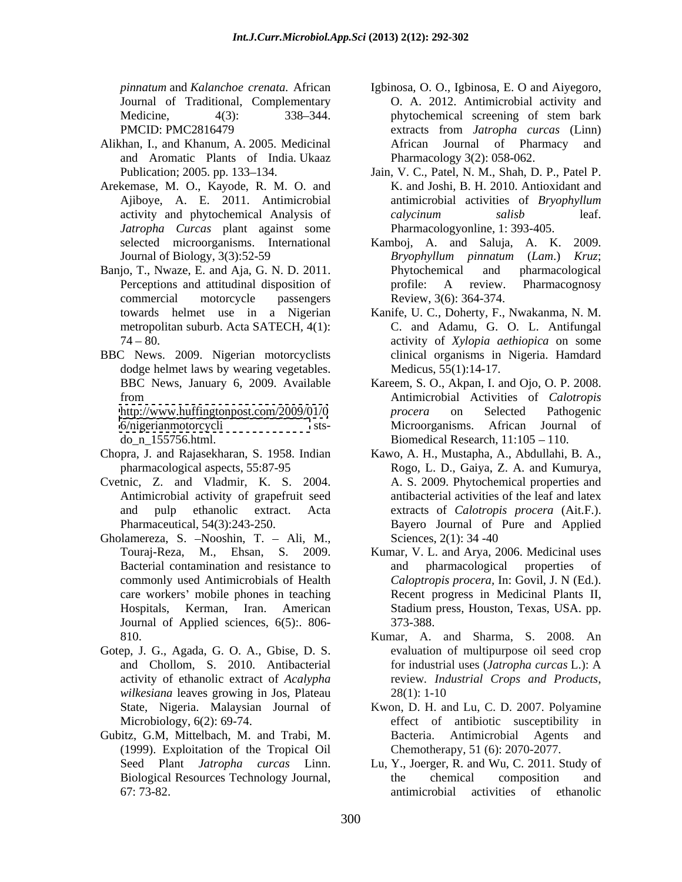- Alikhan, I., and Khanum, A. 2005. Medicinal and Aromatic Plants of India. Ukaaz
- Arekemase, M. O., Kayode, R. M. O. and Ajiboye, A. E. 2011. Antimicrobial *Jatropha Curcas* plant against some
- Banjo, T., Nwaze, E. and Aja, G. N. D. 2011. Phytochemical and pharmacological metropolitan suburb. Acta SATECH*,* 4(1):
- BBC News. 2009. Nigerian motorcyclists dodge helmet laws by wearing vegetables.

- Chopra, J. and Rajasekharan, S. 1958. Indian
- Cvetnic, Z. and Vladmir, K. S. 2004. Antimicrobial activity of grapefruit seed
- Gholamereza, S. -Nooshin, T. Ali, M., Sciences,  $2(1)$ : 34 -40 Journal of Applied sciences*,* 6(5):. 806-
- Gotep, J. G., Agada, G. O. A., Gbise, D. S. *wilkesiana* leaves growing in Jos, Plateau
- Gubitz, G.M, Mittelbach, M. and Trabi, M. (1999). Exploitation of the Tropical Oil
- *pinnatum* and *Kalanchoe crenata.* African Igbinosa, O. O., Igbinosa, E. O and Aiyegoro, Journal of Traditional, Complementary O. A. 2012. Antimicrobial activity and Medicine, 4(3): 338–344. phytochemical screening of stem bark PMCID: PMC2816479 extracts from *Jatropha curcas* (Linn) phytochemical screening of stem bark extracts from *Jatropha curcas* (Linn) African Journal of Pharmacy and Pharmacology 3(2): 058-062.
- Publication; 2005. pp. 133–134. Jain, V. C., Patel, N. M., Shah, D. P., Patel P. activity and phytochemical Analysis of *calycinum salisb* leaf. K. and Joshi, B. H. 2010. Antioxidant and antimicrobial activities of *Bryophyllum calycinum salisb* leaf. Pharmacologyonline, 1: 393-405.
- selected microorganisms. International Kamboj, A. and Saluja, A. K. 2009. Journal of Biology, 3(3):52-59 *Bryophyllum pinnatum* (*Lam*.) *Kruz*; Perceptions and attitudinal disposition of  $\qquad$  profile: A review. Pharmacognosy commercial motorcycle passengers Review, 3(6): 364-374. Phytochemical and pharmacological profile: A review. Pharmacognosy Review, 3(6): 364-374.
- towards helmet use in a Nigerian Kanife, U. C., Doherty, F., Nwakanma, N. M. 74 80. activity of *Xylopia aethiopica* on some C. and Adamu, G. O. L. Antifungal clinical organisms in Nigeria. Hamdard Medicus, 55(1):14-17.
- BBC News, January 6, 2009. Available Kareem, S. O., Akpan, I. and Ojo, O. P. 2008. from Antimicrobial Activities of *Calotropis*  <http://www.huffingtonpost.com/2009/01/0> *procera* on Selected Pathogenic <6/nigerianmotorcycli> sts- Microorganisms. African Journal of  $\mu_{\text{no\_n\_155756.html}}$ . Biomedical Research, 11:105 - 110. *procera* on Selected Pathogenic
- pharmacological aspects, 55:87-95 Rogo, L. D., Gaiya, Z. A. and Kumurya, and pulp ethanolic extract. Acta extracts of *Calotropis procera* (Ait.F.). Pharmaceutical, 54(3):243-250. Bayero Journal of Pure and Applied Kawo, A. H., Mustapha, A., Abdullahi, B. A., A. S. 2009. Phytochemical properties and antibacterial activities of the leaf and latex Sciences, 2(1): 34 -40
- Touraj-Reza, M., Ehsan, S. 2009. Kumar, V. L. and Arya, 2006. Medicinal uses Bacterial contamination and resistance to and pharmacological properties of commonly used Antimicrobials of Health *Caloptropis procera,* In: Govil, J. N (Ed.). care workers' mobile phones in teaching **Recent progress in Medicinal Plants II**, Hospitals, Kerman, Iran. American Stadium press, Houston, Texas, USA. pp. and pharmacological properties of 373-388.
- 810. Kumar, A. and Sharma, S. 2008. An and Chollom, S. 2010. Antibacterial for industrial uses (*Jatropha curcas* L.): A activity of ethanolic extract of *Acalypha*  evaluation of multipurpose oil seed crop for industrial uses (*Jatropha curcas* L.): A review*. Industrial Crops and Products*, 28(1): 1-10
- State, Nigeria. Malaysian Journal of Kwon, D. H. and Lu, C. D. 2007. Polyamine Microbiology, 6(2): 69-74. effect of antibiotic susceptibility in Bacteria. Antimicrobial Agents and Chemotherapy*,* 51 (6): 2070-2077.
- Seed Plant *Jatropha curcas* Linn. Lu, Y., Joerger, R. and Wu, C. 2011. Study of Biological Resources Technology Journal, 67: 73-82. antimicrobial activities of ethanolicthe chemical composition and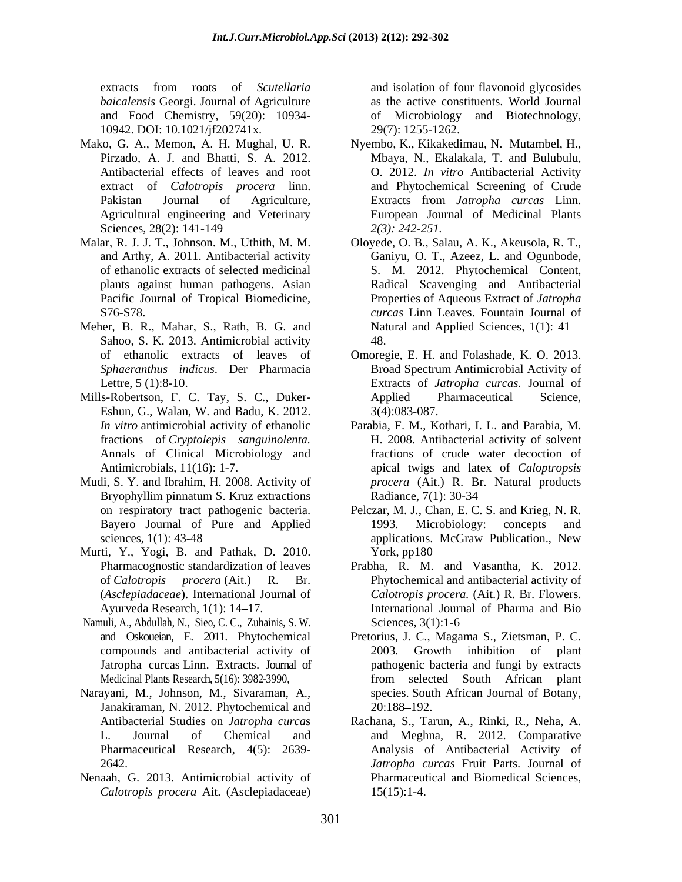extracts from roots of *Scutellaria* and isolation of four flavonoid glycosides *baicalensis* Georgi. Journal of Agriculture and Food Chemistry, 59(20): 10934- of Microbiology and Biotechnology, 10942. DOI: 10.1021/jf202741x.

- Agricultural engineering and Veterinary
- Pacific Journal of Tropical Biomedicine,
- Meher, B. R., Mahar, S., Rath, B. G. and Sahoo, S. K. 2013. Antimicrobial activity
- Mills-Robertson, F. C. Tay, S. C., Duker- Eshun, G., Walan, W. and Badu, K. 2012. 3(4):083-087.
- Mudi, S. Y. and Ibrahim, H. 2008. Activity of
- Murti, Y., Yogi, B. and Pathak, D. 2010.
- Namuli, A., Abdullah, N., Sieo, C. C., Zuhainis, S. W.
- Narayani, M., Johnson, M., Sivaraman, A., Janakiraman, N. 2012. Phytochemical and 20:188–192.
- Nenaah, G. 2013. Antimicrobial activity of *Calotropis procera* Ait. (Asclepiadaceae)

and isolation of four flavonoid glycosides as the active constituents. World Journal 29(7): 1255-1262.

- Mako, G. A., Memon, A. H. Mughal, U. R. Nyembo, K., Kikakedimau, N. Mutambel, H., Pirzado, A. J. and Bhatti, S. A. 2012. Mbaya, N., Ekalakala, T. and Bulubulu, Antibacterial effects of leaves and root O. 2012. *In vitro* Antibacterial Activity extract of *Calotropis procera* linn. and Phytochemical Screening of Crude Pakistan Journal of Agriculture, Extracts from *Jatropha curcas* Linn. Sciences, 28(2): 141-149  $2(3)$ : 242-251. European Journal of Medicinal Plants *2(3): 242-251.*
- Malar, R. J. J. T., Johnson. M., Uthith, M. M. Oloyede, O. B., Salau, A. K., Akeusola, R. T., and Arthy, A. 2011. Antibacterial activity Ganiyu, O. T., Azeez, L. and Ogunbode, of ethanolic extracts of selected medicinal S. M. 2012. Phytochemical Content, plants against human pathogens. Asian Radical Scavenging and Antibacterial S76-S78. *curcas* Linn Leaves. Fountain Journal of Properties of Aqueous Extract of *Jatropha*  Natural and Applied Sciences,  $1(1)$ : 41 -48.
	- of ethanolic extracts of leaves of Omoregie, E. H. and Folashade, K. O. 2013. *Sphaeranthus indicus*. Der Pharmacia Broad Spectrum Antimicrobial Activity of Lettre, 5 (1):8-10. Extracts of *Jatropha curcas.* Journal of Applied Pharmaceutical Science, 3(4):083-087.
	- *In vitro* antimicrobial activity of ethanolic Parabia, F. M., Kothari, I. L. and Parabia, M. fractions of *Cryptolepis sanguinolenta.* H. 2008. Antibacterial activity of solvent Annals of Clinical Microbiology and fractions of crude water decoction of Antimicrobials, 11(16): 1-7. apical twigs and latex of *Caloptropsis*  Bryophyllim pinnatum S. Kruz extractions Radiance, 7(1): 30-34 *procera* (Ait.) R. Br. Natural products Radiance, 7(1): 30-34
	- on respiratory tract pathogenic bacteria. Pelczar, M. J., Chan, E. C. S. and Krieg, N. R. Bayero Journal of Pure and Applied 1993. Microbiology: concepts and sciences, 1(1): 43-48 applications. McGraw Publication., New 1993. Microbiology: concepts and York, pp180
	- Pharmacognostic standardization of leaves Prabha, R. M. and Vasantha, K. 2012. of *Calotropis procera* (Ait.) R. Br. Phytochemical and antibacterial activity of (*Asclepiadaceae*). International Journal of *Calotropis procera.* (Ait.) R. Br. Flowers. Ayurveda Research, 1(1): 14 17. International Journal of Pharma and Bio Sciences, 3(1):1-6
	- and Oskoueian, E. 2011. Phytochemical Pretorius, J. C., Magama S., Zietsman, P. C. compounds and antibacterial activity of 2003. Growth inhibition of plant Jatropha curcas Linn. Extracts. Journal of pathogenic bacteria and fungi by extracts Medicinal Plants Research*,* 5(16): 3982-3990, from selected South African plant species. South African Journal of Botany, 20:188–192.
	- Antibacterial Studies on *Jatropha curca*s Rachana, S., Tarun, A., Rinki, R., Neha, A. L. Journal of Chemical and and Meghna, R. 2012. Comparative Pharmaceutical Research, 4(5): 2639- Analysis of Antibacterial Activity of 2642. *Jatropha curcas* Fruit Parts. Journal of Pharmaceutical and Biomedical Sciences, 15(15):1-4.